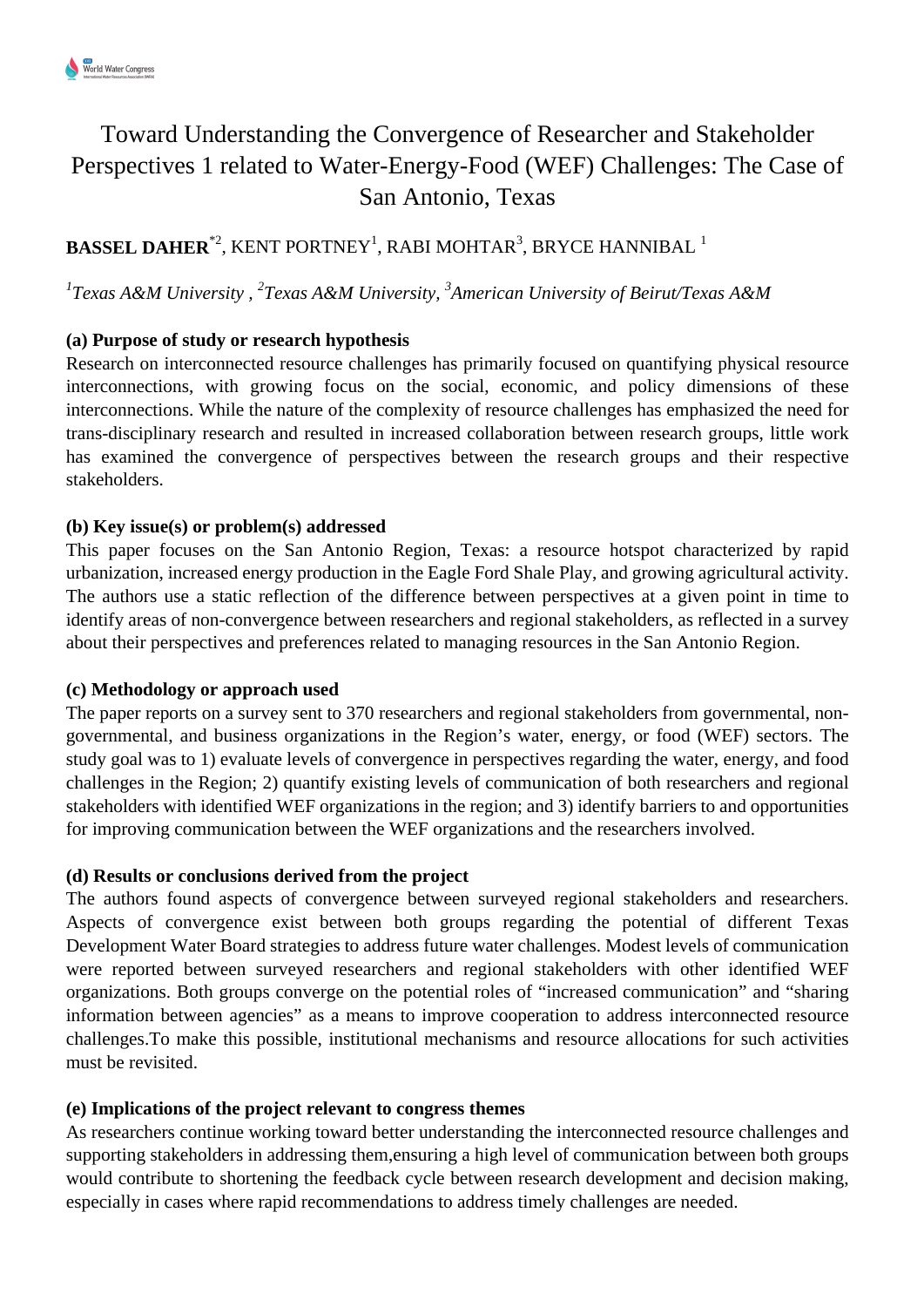# Toward Understanding the Convergence of Researcher and Stakeholder Perspectives 1 related to Water-Energy-Food (WEF) Challenges: The Case of San Antonio, Texas

## $\mathbf{BASSEL}\ \mathbf{DAHER}^{*2}\text{,}\ \mathrm{KENT}\ \mathrm{PORTNEY}^{1}\text{,}\ \mathrm{RABI}\ \mathrm{MOHTAR}^{3}\text{,}\ \mathrm{BRYCE}\ \mathrm{HANNIBAL}^{-1}$

*1 Texas A&M University , <sup>2</sup> Texas A&M University, <sup>3</sup> American University of Beirut/Texas A&M* 

### **(a) Purpose of study or research hypothesis**

Research on interconnected resource challenges has primarily focused on quantifying physical resource interconnections, with growing focus on the social, economic, and policy dimensions of these interconnections. While the nature of the complexity of resource challenges has emphasized the need for trans-disciplinary research and resulted in increased collaboration between research groups, little work has examined the convergence of perspectives between the research groups and their respective stakeholders.

### **(b) Key issue(s) or problem(s) addressed**

This paper focuses on the San Antonio Region, Texas: a resource hotspot characterized by rapid urbanization, increased energy production in the Eagle Ford Shale Play, and growing agricultural activity. The authors use a static reflection of the difference between perspectives at a given point in time to identify areas of non-convergence between researchers and regional stakeholders, as reflected in a survey about their perspectives and preferences related to managing resources in the San Antonio Region.

#### **(c) Methodology or approach used**

The paper reports on a survey sent to 370 researchers and regional stakeholders from governmental, nongovernmental, and business organizations in the Region's water, energy, or food (WEF) sectors. The study goal was to 1) evaluate levels of convergence in perspectives regarding the water, energy, and food challenges in the Region; 2) quantify existing levels of communication of both researchers and regional stakeholders with identified WEF organizations in the region; and 3) identify barriers to and opportunities for improving communication between the WEF organizations and the researchers involved.

### **(d) Results or conclusions derived from the project**

The authors found aspects of convergence between surveyed regional stakeholders and researchers. Aspects of convergence exist between both groups regarding the potential of different Texas Development Water Board strategies to address future water challenges. Modest levels of communication were reported between surveyed researchers and regional stakeholders with other identified WEF organizations. Both groups converge on the potential roles of "increased communication" and "sharing information between agencies" as a means to improve cooperation to address interconnected resource challenges.To make this possible, institutional mechanisms and resource allocations for such activities must be revisited.

### **(e) Implications of the project relevant to congress themes**

As researchers continue working toward better understanding the interconnected resource challenges and supporting stakeholders in addressing them,ensuring a high level of communication between both groups would contribute to shortening the feedback cycle between research development and decision making, especially in cases where rapid recommendations to address timely challenges are needed.